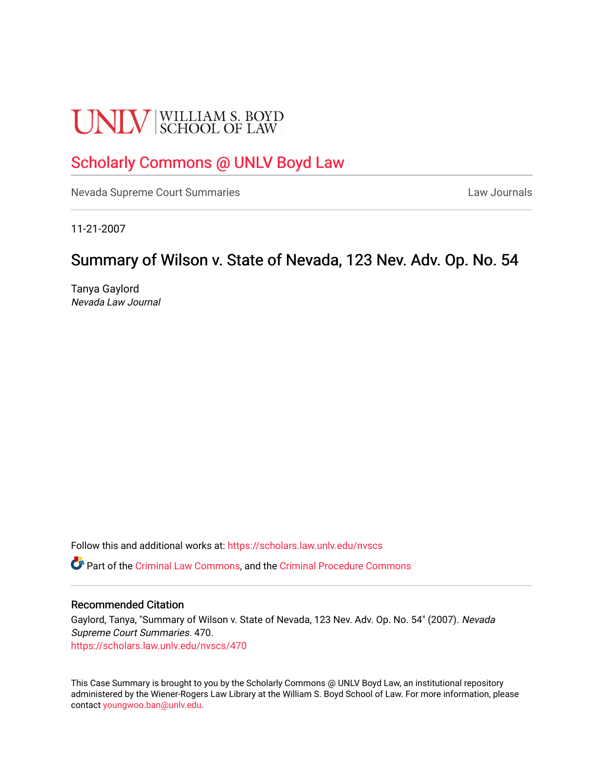# **UNLV** SCHOOL OF LAW

## [Scholarly Commons @ UNLV Boyd Law](https://scholars.law.unlv.edu/)

[Nevada Supreme Court Summaries](https://scholars.law.unlv.edu/nvscs) **Law Journals** Law Journals

11-21-2007

## Summary of Wilson v. State of Nevada, 123 Nev. Adv. Op. No. 54

Tanya Gaylord Nevada Law Journal

Follow this and additional works at: [https://scholars.law.unlv.edu/nvscs](https://scholars.law.unlv.edu/nvscs?utm_source=scholars.law.unlv.edu%2Fnvscs%2F470&utm_medium=PDF&utm_campaign=PDFCoverPages)

Part of the [Criminal Law Commons,](http://network.bepress.com/hgg/discipline/912?utm_source=scholars.law.unlv.edu%2Fnvscs%2F470&utm_medium=PDF&utm_campaign=PDFCoverPages) and the [Criminal Procedure Commons](http://network.bepress.com/hgg/discipline/1073?utm_source=scholars.law.unlv.edu%2Fnvscs%2F470&utm_medium=PDF&utm_campaign=PDFCoverPages)

#### Recommended Citation

Gaylord, Tanya, "Summary of Wilson v. State of Nevada, 123 Nev. Adv. Op. No. 54" (2007). Nevada Supreme Court Summaries. 470. [https://scholars.law.unlv.edu/nvscs/470](https://scholars.law.unlv.edu/nvscs/470?utm_source=scholars.law.unlv.edu%2Fnvscs%2F470&utm_medium=PDF&utm_campaign=PDFCoverPages)

This Case Summary is brought to you by the Scholarly Commons @ UNLV Boyd Law, an institutional repository administered by the Wiener-Rogers Law Library at the William S. Boyd School of Law. For more information, please contact [youngwoo.ban@unlv.edu](mailto:youngwoo.ban@unlv.edu).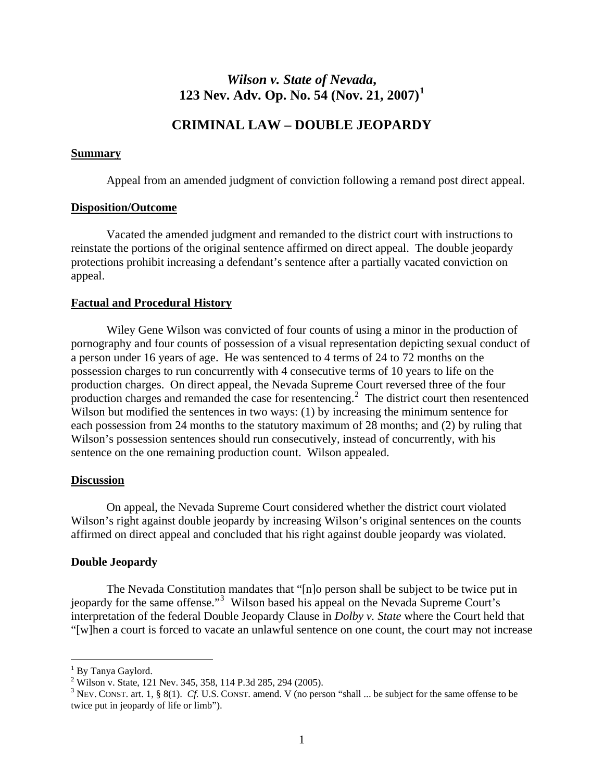### *Wilson v. State of Nevada***, 123 Nev. Adv. Op. No. 54 (Nov. 21, 2007)[1](#page-1-0)**

#### **CRIMINAL LAW – DOUBLE JEOPARDY**

#### **Summary**

Appeal from an amended judgment of conviction following a remand post direct appeal.

#### **Disposition/Outcome**

 Vacated the amended judgment and remanded to the district court with instructions to reinstate the portions of the original sentence affirmed on direct appeal. The double jeopardy protections prohibit increasing a defendant's sentence after a partially vacated conviction on appeal.

#### **Factual and Procedural History**

Wiley Gene Wilson was convicted of four counts of using a minor in the production of pornography and four counts of possession of a visual representation depicting sexual conduct of a person under 16 years of age. He was sentenced to 4 terms of 24 to 72 months on the possession charges to run concurrently with 4 consecutive terms of 10 years to life on the production charges. On direct appeal, the Nevada Supreme Court reversed three of the four production charges and remanded the case for resentencing.<sup>[2](#page-1-1)</sup> The district court then resentenced Wilson but modified the sentences in two ways: (1) by increasing the minimum sentence for each possession from 24 months to the statutory maximum of 28 months; and (2) by ruling that Wilson's possession sentences should run consecutively, instead of concurrently, with his sentence on the one remaining production count. Wilson appealed.

#### **Discussion**

 On appeal, the Nevada Supreme Court considered whether the district court violated Wilson's right against double jeopardy by increasing Wilson's original sentences on the counts affirmed on direct appeal and concluded that his right against double jeopardy was violated.

#### **Double Jeopardy**

 The Nevada Constitution mandates that "[n]o person shall be subject to be twice put in jeopardy for the same offense."<sup>[3](#page-1-2)</sup> Wilson based his appeal on the Nevada Supreme Court's interpretation of the federal Double Jeopardy Clause in *Dolby v. State* where the Court held that "[w]hen a court is forced to vacate an unlawful sentence on one count, the court may not increase

 $\overline{a}$ 

<span id="page-1-0"></span><sup>&</sup>lt;sup>1</sup> By Tanya Gaylord.

<span id="page-1-1"></span><sup>&</sup>lt;sup>2</sup> Wilson v. State, 121 Nev. 345, 358, 114 P.3d 285, 294 (2005).

<span id="page-1-2"></span> $3$  NEV. CONST. art. 1, § 8(1). *Cf.* U.S. CONST. amend. V (no person "shall ... be subject for the same offense to be twice put in jeopardy of life or limb").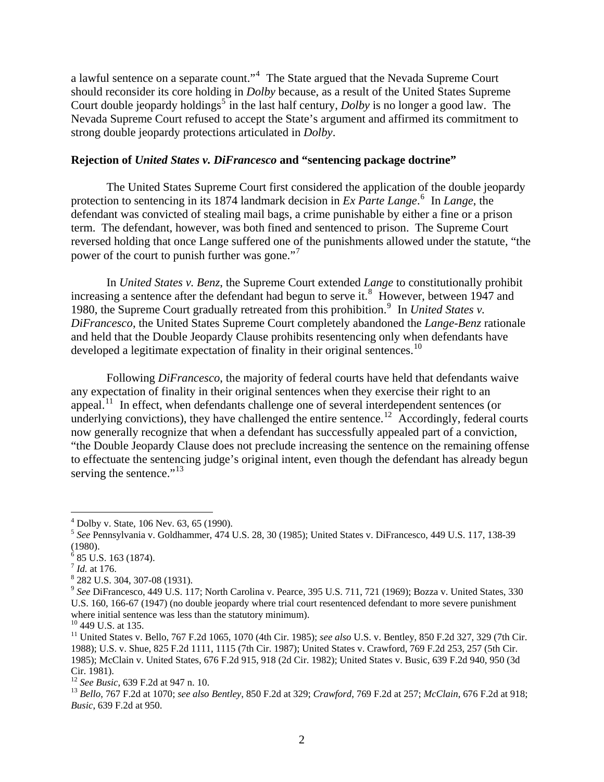a lawful sentence on a separate count."<sup>[4](#page-2-0)</sup> The State argued that the Nevada Supreme Court should reconsider its core holding in *Dolby* because, as a result of the United States Supreme Court double jeopardy holdings<sup>[5](#page-2-1)</sup> in the last half century, *Dolby* is no longer a good law. The Nevada Supreme Court refused to accept the State's argument and affirmed its commitment to strong double jeopardy protections articulated in *Dolby*.

#### **Rejection of** *United States v. DiFrancesco* **and "sentencing package doctrine"**

The United States Supreme Court first considered the application of the double jeopardy protection to sentencing in its 1874 landmark decision in *Ex Parte Lange*.<sup>[6](#page-2-2)</sup> In *Lange*, the defendant was convicted of stealing mail bags, a crime punishable by either a fine or a prison term. The defendant, however, was both fined and sentenced to prison. The Supreme Court reversed holding that once Lange suffered one of the punishments allowed under the statute, "the power of the court to punish further was gone."

In *United States v. Benz*, the Supreme Court extended *Lange* to constitutionally prohibit increasing a sentence after the defendant had begun to serve it.<sup>[8](#page-2-4)</sup> However, between 1947 and 1[9](#page-2-5)80, the Supreme Court gradually retreated from this prohibition.<sup>9</sup> In *United States v*. *DiFrancesco*, the United States Supreme Court completely abandoned the *Lange*-*Benz* rationale and held that the Double Jeopardy Clause prohibits resentencing only when defendants have developed a legitimate expectation of finality in their original sentences.<sup>[10](#page-2-6)</sup>

Following *DiFrancesco*, the majority of federal courts have held that defendants waive any expectation of finality in their original sentences when they exercise their right to an appeal.[11](#page-2-7) In effect, when defendants challenge one of several interdependent sentences (or underlying convictions), they have challenged the entire sentence.<sup>[12](#page-2-8)</sup> Accordingly, federal courts now generally recognize that when a defendant has successfully appealed part of a conviction, "the Double Jeopardy Clause does not preclude increasing the sentence on the remaining offense to effectuate the sentencing judge's original intent, even though the defendant has already begun serving the sentence."<sup>[13](#page-2-9)</sup>

 $\overline{a}$ 

<sup>4</sup> Dolby v. State, 106 Nev. 63, 65 (1990).

<span id="page-2-1"></span><span id="page-2-0"></span><sup>5</sup>  *See* Pennsylvania v. Goldhammer, 474 U.S. 28, 30 (1985); United States v. DiFrancesco, 449 U.S. 117, 138-39 (1980).

<sup>6</sup> 85 U.S. 163 (1874).

<span id="page-2-3"></span><span id="page-2-2"></span> $^{7}$  *Id.* at 176.

<span id="page-2-4"></span> <sup>282</sup> U.S. 304, 307-08 (1931).

<span id="page-2-5"></span><sup>9</sup> *See* DiFrancesco, 449 U.S. 117; North Carolina v. Pearce, 395 U.S. 711, 721 (1969); Bozza v. United States, 330 U.S. 160, 166-67 (1947) (no double jeopardy where trial court resentenced defendant to more severe punishment where initial sentence was less than the statutory minimum).

<sup>&</sup>lt;sup>10</sup> 449 U.S. at 135.

<span id="page-2-7"></span><span id="page-2-6"></span><sup>11</sup> United States v. Bello, 767 F.2d 1065, 1070 (4th Cir. 1985); *see also* U.S. v. Bentley, 850 F.2d 327, 329 (7th Cir. 1988); U.S. v. Shue, 825 F.2d 1111, 1115 (7th Cir. 1987); United States v. Crawford, 769 F.2d 253, 257 (5th Cir. 1985); McClain v. United States, 676 F.2d 915, 918 (2d Cir. 1982); United States v. Busic, 639 F.2d 940, 950 (3d Cir. 1981).<br><sup>12</sup> *See Busic*, 639 F.2d at 947 n. 10.

<span id="page-2-8"></span>

<span id="page-2-9"></span><sup>12</sup> *See Busic*, 639 F.2d at 947 n. 10. 13 *Bello*, 767 F.2d at 1070; *see also Bentley*, 850 F.2d at 329; *Crawford*, 769 F.2d at 257; *McClain*, 676 F.2d at 918; *Busic*, 639 F.2d at 950.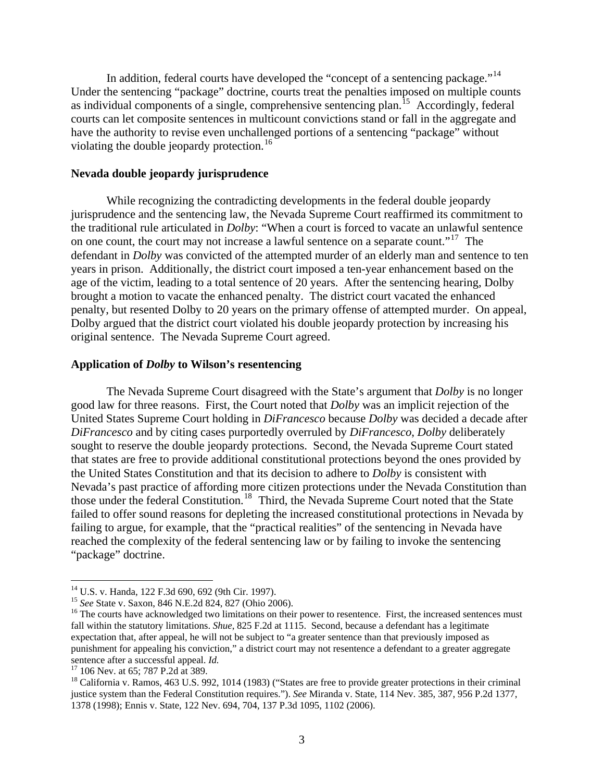In addition, federal courts have developed the "concept of a sentencing package."<sup>[14](#page-3-0)</sup> Under the sentencing "package" doctrine, courts treat the penalties imposed on multiple counts as individual components of a single, comprehensive sentencing plan.<sup>[15](#page-3-1)</sup> Accordingly, federal courts can let composite sentences in multicount convictions stand or fall in the aggregate and have the authority to revise even unchallenged portions of a sentencing "package" without violating the double jeopardy protection.<sup>[16](#page-3-2)</sup>

#### **Nevada double jeopardy jurisprudence**

 While recognizing the contradicting developments in the federal double jeopardy jurisprudence and the sentencing law, the Nevada Supreme Court reaffirmed its commitment to the traditional rule articulated in *Dolby*: "When a court is forced to vacate an unlawful sentence on one count, the court may not increase a lawful sentence on a separate count."<sup>[17](#page-3-3)</sup> The defendant in *Dolby* was convicted of the attempted murder of an elderly man and sentence to ten years in prison. Additionally, the district court imposed a ten-year enhancement based on the age of the victim, leading to a total sentence of 20 years. After the sentencing hearing, Dolby brought a motion to vacate the enhanced penalty. The district court vacated the enhanced penalty, but resented Dolby to 20 years on the primary offense of attempted murder. On app eal, Dolby argued that the district court violated his double jeopardy protection by increasing his original sentence. The Nevada Supreme Court agreed.

#### **Application of** *Dolby* **to Wilson's resentencing**

The Nevada Supreme Court disagreed with the State's argument that *Dolby* is no longer good law for three reasons. First, the Court noted that *Dolby* was an implicit rejection of the United States Supreme Court holding in *DiFrancesco* because *Dolby* was decided a decade after *DiFrancesco* and by citing cases purportedly overruled by *DiFrancesco*, *Dolby* deliberately sought to reserve the double jeopardy protections. Second, the Nevada Supreme Court stated that states are free to provide additional constitutional protections beyond the ones provided by the United States Constitution and that its decision to adhere to *Dolby* is consistent with Nevada's past practice of affording more citizen protections under the Nevada Constitution than those under the federal Constitution.<sup>[18](#page-3-4)</sup> Third, the Nevada Supreme Court noted that the State failed to offer sound reasons for depleting the increased constitutional protections in Nevada by failing to argue, for example, that the "practical realities" of the sentencing in Nevada have reached the complexity of the federal sentencing law or by failing to invoke the sentencing "package" doctrine.

 $\overline{a}$ 

<span id="page-3-0"></span><sup>&</sup>lt;sup>14</sup> U.S. v. Handa, 122 F.3d 690, 692 (9th Cir. 1997).<br><sup>15</sup> See State v. Saxon, 846 N.E.2d 824, 827 (Ohio 2006).

<span id="page-3-2"></span><span id="page-3-1"></span><sup>&</sup>lt;sup>16</sup> The courts have acknowledged two limitations on their power to resentence. First, the increased sentences must fall within the statutory limitations. *Shue*, 825 F.2d at 1115. Second, because a defendant has a legitimate expectation that, after appeal, he will not be subject to "a greater sentence than that previously imposed as punishment for appealing his conviction," a district court may not resentence a defendant to a greater aggregate sentence after a successful appeal. *Id.* <sup>17</sup> 106 Nev. at 65; 787 P.2d at 389.

<span id="page-3-4"></span><span id="page-3-3"></span><sup>&</sup>lt;sup>18</sup> California v. Ramos, 463 U.S. 992, 1014 (1983) ("States are free to provide greater protections in their criminal justice system than the Federal Constitution requires."). *See* Miranda v. State, 114 Nev. 385, 387, 956 P.2d 1377, 1378 (1998); Ennis v. State, 122 Nev. 694, 704, 137 P.3d 1095, 1102 (2006).